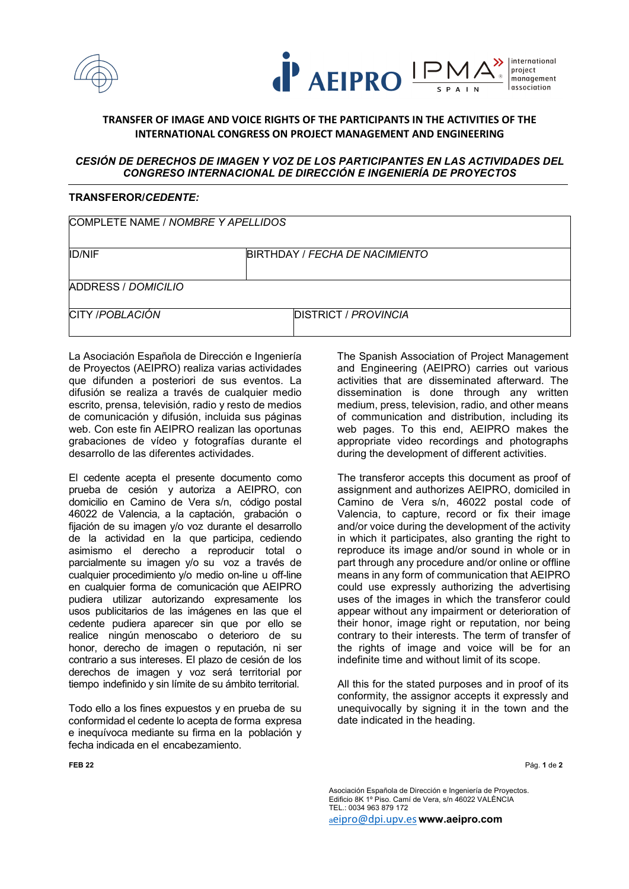



## **TRANSFER OF IMAGE AND VOICE RIGHTS OF THE PARTICIPANTS IN THE ACTIVITIES OF THE INTERNATIONAL CONGRESS ON PROJECT MANAGEMENT AND ENGINEERING**

## *CESIÓN DE DERECHOS DE IMAGEN Y VOZ DE LOS PARTICIPANTES EN LAS ACTIVIDADES DEL CONGRESO INTERNACIONAL DE DIRECCIÓN E INGENIERÍA DE PROYECTOS*

## **TRANSFEROR/***CEDENTE:*

| COMPLETE NAME / NOMBRE Y APELLIDOS |                                |
|------------------------------------|--------------------------------|
| <b>ID/NIF</b>                      | BIRTHDAY / FECHA DE NACIMIENTO |
| ADDRESS / DOMICILIO                |                                |
| CITY / POBLACIÓN                   | <b>DISTRICT / PROVINCIA</b>    |

La Asociación Española de Dirección e Ingeniería de Proyectos (AEIPRO) realiza varias actividades que difunden a posteriori de sus eventos. La difusión se realiza a través de cualquier medio escrito, prensa, televisión, radio y resto de medios de comunicación y difusión, incluida sus páginas web. Con este fin AEIPRO realizan las oportunas grabaciones de vídeo y fotografías durante el desarrollo de las diferentes actividades.

El cedente acepta el presente documento como prueba de cesión y autoriza a AEIPRO, con domicilio en Camino de Vera s/n, código postal 46022 de Valencia, a la captación, grabación o fijación de su imagen y/o voz durante el desarrollo de la actividad en la que participa, cediendo asimismo el derecho a reproducir total o parcialmente su imagen y/o su voz a través de cualquier procedimiento y/o medio on-line u off-line en cualquier forma de comunicación que AEIPRO pudiera utilizar autorizando expresamente los usos publicitarios de las imágenes en las que el cedente pudiera aparecer sin que por ello se realice ningún menoscabo o deterioro de su honor, derecho de imagen o reputación, ni ser contrario a sus intereses. El plazo de cesión de los derechos de imagen y voz será territorial por tiempo indefinido y sin límite de su ámbito territorial.

Todo ello a los fines expuestos y en prueba de su conformidad el cedente lo acepta de forma expresa e inequívoca mediante su firma en la población y fecha indicada en el encabezamiento.

The Spanish Association of Project Management and Engineering (AEIPRO) carries out various activities that are disseminated afterward. The dissemination is done through any written medium, press, television, radio, and other means of communication and distribution, including its web pages. To this end, AEIPRO makes the appropriate video recordings and photographs during the development of different activities.

The transferor accepts this document as proof of assignment and authorizes AEIPRO, domiciled in Camino de Vera s/n, 46022 postal code of Valencia, to capture, record or fix their image and/or voice during the development of the activity in which it participates, also granting the right to reproduce its image and/or sound in whole or in part through any procedure and/or online or offline means in any form of communication that AEIPRO could use expressly authorizing the advertising uses of the images in which the transferor could appear without any impairment or deterioration of their honor, image right or reputation, nor being contrary to their interests. The term of transfer of the rights of image and voice will be for an indefinite time and without limit of its scope.

All this for the stated purposes and in proof of its conformity, the assignor accepts it expressly and unequivocally by signing it in the town and the date indicated in the heading.

**FEB 22** Pág. **1** de **2** 

Asociación Española de Dirección e Ingeniería de Proyectos. Edificio 8K 1º Piso. Camí de Vera, s/n 46022 VALÈNCIA TEL.: 0034 963 879 172 <sup>a</sup>[eipro@dpi.upv.es](mailto:aeipro@dpi.upv.es) **www.aeipro.com**